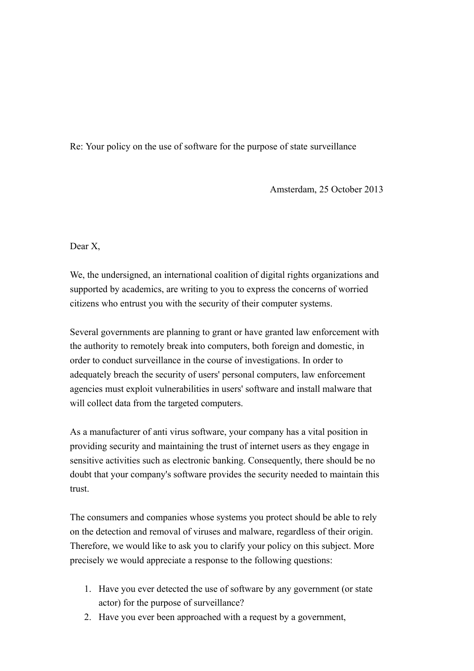Re: Your policy on the use of software for the purpose of state surveillance

Amsterdam, 25 October 2013

Dear X,

We, the undersigned, an international coalition of digital rights organizations and supported by academics, are writing to you to express the concerns of worried citizens who entrust you with the security of their computer systems.

Several governments are planning to grant or have granted law enforcement with the authority to remotely break into computers, both foreign and domestic, in order to conduct surveillance in the course of investigations. In order to adequately breach the security of users' personal computers, law enforcement agencies must exploit vulnerabilities in users' software and install malware that will collect data from the targeted computers.

As a manufacturer of anti virus software, your company has a vital position in providing security and maintaining the trust of internet users as they engage in sensitive activities such as electronic banking. Consequently, there should be no doubt that your company's software provides the security needed to maintain this trust.

The consumers and companies whose systems you protect should be able to rely on the detection and removal of viruses and malware, regardless of their origin. Therefore, we would like to ask you to clarify your policy on this subject. More precisely we would appreciate a response to the following questions:

- 1. Have you ever detected the use of software by any government (or state actor) for the purpose of surveillance?
- 2. Have you ever been approached with a request by a government,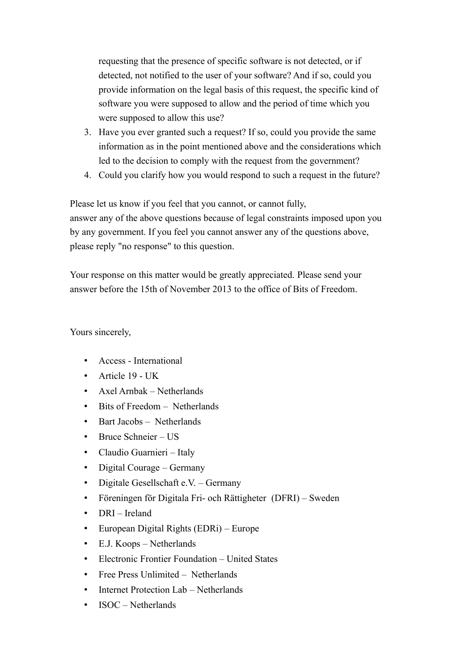requesting that the presence of specific software is not detected, or if detected, not notified to the user of your software? And if so, could you provide information on the legal basis of this request, the specific kind of software you were supposed to allow and the period of time which you were supposed to allow this use?

- 3. Have you ever granted such a request? If so, could you provide the same information as in the point mentioned above and the considerations which led to the decision to comply with the request from the government?
- 4. Could you clarify how you would respond to such a request in the future?

Please let us know if you feel that you cannot, or cannot fully, answer any of the above questions because of legal constraints imposed upon you by any government. If you feel you cannot answer any of the questions above, please reply "no response" to this question.

Your response on this matter would be greatly appreciated. Please send your answer before the 15th of November 2013 to the office of Bits of Freedom.

Yours sincerely,

- Access International
- Article 19 UK
- Axel Arnbak Netherlands
- Bits of Freedom Netherlands
- Bart Jacobs Netherlands
- Bruce Schneier US
- Claudio Guarnieri Italy
- Digital Courage Germany
- Digitale Gesellschaft e.V. Germany
- Föreningen för Digitala Fri- och Rättigheter (DFRI) Sweden
- DRI Ireland
- European Digital Rights (EDRi) Europe
- E.J. Koops Netherlands
- Electronic Frontier Foundation United States
- Free Press Unlimited Netherlands
- Internet Protection Lab Netherlands
- ISOC Netherlands